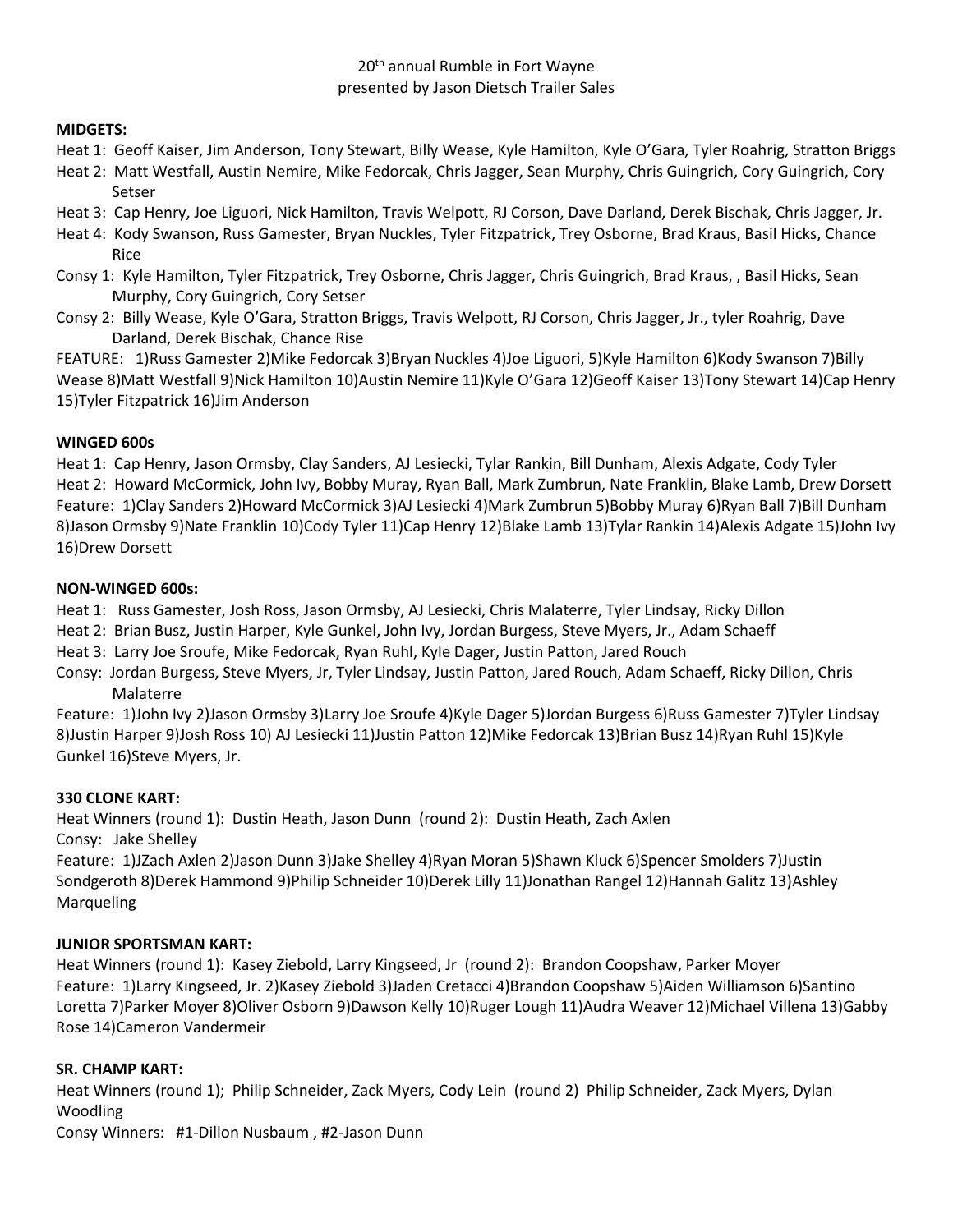## 20<sup>th</sup> annual Rumble in Fort Wayne presented by Jason Dietsch Trailer Sales

#### **MIDGETS:**

- Heat 1: Geoff Kaiser, Jim Anderson, Tony Stewart, Billy Wease, Kyle Hamilton, Kyle O'Gara, Tyler Roahrig, Stratton Briggs
- Heat 2: Matt Westfall, Austin Nemire, Mike Fedorcak, Chris Jagger, Sean Murphy, Chris Guingrich, Cory Guingrich, Cory Setser
- Heat 3: Cap Henry, Joe Liguori, Nick Hamilton, Travis Welpott, RJ Corson, Dave Darland, Derek Bischak, Chris Jagger, Jr.
- Heat 4: Kody Swanson, Russ Gamester, Bryan Nuckles, Tyler Fitzpatrick, Trey Osborne, Brad Kraus, Basil Hicks, Chance Rice
- Consy 1: Kyle Hamilton, Tyler Fitzpatrick, Trey Osborne, Chris Jagger, Chris Guingrich, Brad Kraus, , Basil Hicks, Sean Murphy, Cory Guingrich, Cory Setser
- Consy 2: Billy Wease, Kyle O'Gara, Stratton Briggs, Travis Welpott, RJ Corson, Chris Jagger, Jr., tyler Roahrig, Dave Darland, Derek Bischak, Chance Rise

FEATURE: 1)Russ Gamester 2)Mike Fedorcak 3)Bryan Nuckles 4)Joe Liguori, 5)Kyle Hamilton 6)Kody Swanson 7)Billy Wease 8)Matt Westfall 9)Nick Hamilton 10)Austin Nemire 11)Kyle O'Gara 12)Geoff Kaiser 13)Tony Stewart 14)Cap Henry 15)Tyler Fitzpatrick 16)Jim Anderson

#### **WINGED 600s**

Heat 1: Cap Henry, Jason Ormsby, Clay Sanders, AJ Lesiecki, Tylar Rankin, Bill Dunham, Alexis Adgate, Cody Tyler Heat 2: Howard McCormick, John Ivy, Bobby Muray, Ryan Ball, Mark Zumbrun, Nate Franklin, Blake Lamb, Drew Dorsett Feature: 1)Clay Sanders 2)Howard McCormick 3)AJ Lesiecki 4)Mark Zumbrun 5)Bobby Muray 6)Ryan Ball 7)Bill Dunham 8)Jason Ormsby 9)Nate Franklin 10)Cody Tyler 11)Cap Henry 12)Blake Lamb 13)Tylar Rankin 14)Alexis Adgate 15)John Ivy 16)Drew Dorsett

#### **NON-WINGED 600s:**

- Heat 1: Russ Gamester, Josh Ross, Jason Ormsby, AJ Lesiecki, Chris Malaterre, Tyler Lindsay, Ricky Dillon
- Heat 2: Brian Busz, Justin Harper, Kyle Gunkel, John Ivy, Jordan Burgess, Steve Myers, Jr., Adam Schaeff
- Heat 3: Larry Joe Sroufe, Mike Fedorcak, Ryan Ruhl, Kyle Dager, Justin Patton, Jared Rouch
- Consy: Jordan Burgess, Steve Myers, Jr, Tyler Lindsay, Justin Patton, Jared Rouch, Adam Schaeff, Ricky Dillon, Chris Malaterre

Feature: 1)John Ivy 2)Jason Ormsby 3)Larry Joe Sroufe 4)Kyle Dager 5)Jordan Burgess 6)Russ Gamester 7)Tyler Lindsay 8)Justin Harper 9)Josh Ross 10) AJ Lesiecki 11)Justin Patton 12)Mike Fedorcak 13)Brian Busz 14)Ryan Ruhl 15)Kyle Gunkel 16)Steve Myers, Jr.

#### **330 CLONE KART:**

Heat Winners (round 1): Dustin Heath, Jason Dunn (round 2): Dustin Heath, Zach Axlen Consy: Jake Shelley

Feature: 1)JZach Axlen 2)Jason Dunn 3)Jake Shelley 4)Ryan Moran 5)Shawn Kluck 6)Spencer Smolders 7)Justin Sondgeroth 8)Derek Hammond 9)Philip Schneider 10)Derek Lilly 11)Jonathan Rangel 12)Hannah Galitz 13)Ashley **Marqueling** 

## **JUNIOR SPORTSMAN KART:**

Heat Winners (round 1): Kasey Ziebold, Larry Kingseed, Jr (round 2): Brandon Coopshaw, Parker Moyer Feature: 1)Larry Kingseed, Jr. 2)Kasey Ziebold 3)Jaden Cretacci 4)Brandon Coopshaw 5)Aiden Williamson 6)Santino Loretta 7)Parker Moyer 8)Oliver Osborn 9)Dawson Kelly 10)Ruger Lough 11)Audra Weaver 12)Michael Villena 13)Gabby Rose 14)Cameron Vandermeir

## **SR. CHAMP KART:**

Heat Winners (round 1); Philip Schneider, Zack Myers, Cody Lein (round 2) Philip Schneider, Zack Myers, Dylan Woodling

Consy Winners: #1-Dillon Nusbaum , #2-Jason Dunn